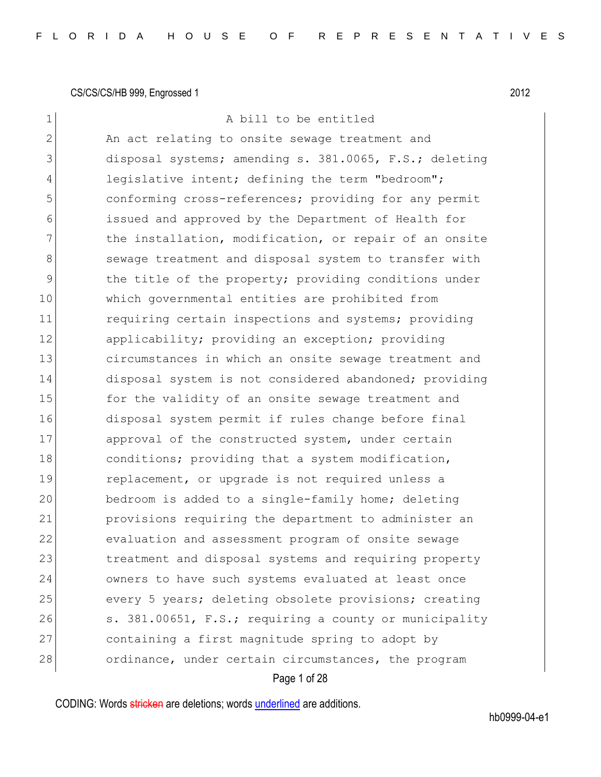| 1              | A bill to be entitled                                  |
|----------------|--------------------------------------------------------|
| $\overline{2}$ | An act relating to onsite sewage treatment and         |
| 3              | disposal systems; amending s. 381.0065, F.S.; deleting |
| 4              | legislative intent; defining the term "bedroom";       |
| 5              | conforming cross-references; providing for any permit  |
| 6              | issued and approved by the Department of Health for    |
| 7              | the installation, modification, or repair of an onsite |
| 8              | sewage treatment and disposal system to transfer with  |
| $\mathsf 9$    | the title of the property; providing conditions under  |
| 10             | which governmental entities are prohibited from        |
| 11             | requiring certain inspections and systems; providing   |
| 12             | applicability; providing an exception; providing       |
| 13             | circumstances in which an onsite sewage treatment and  |
| 14             | disposal system is not considered abandoned; providing |
| 15             | for the validity of an onsite sewage treatment and     |
| 16             | disposal system permit if rules change before final    |
| 17             | approval of the constructed system, under certain      |
| 18             | conditions; providing that a system modification,      |
| 19             | replacement, or upgrade is not required unless a       |
| 20             | bedroom is added to a single-family home; deleting     |
| 21             | provisions requiring the department to administer an   |
| 22             | evaluation and assessment program of onsite sewage     |
| 23             | treatment and disposal systems and requiring property  |
| 24             | owners to have such systems evaluated at least once    |
| 25             | every 5 years; deleting obsolete provisions; creating  |
| 26             | s. 381.00651, F.S.; requiring a county or municipality |
| 27             | containing a first magnitude spring to adopt by        |
| 28             | ordinance, under certain circumstances, the program    |
|                | Page 1 of 28                                           |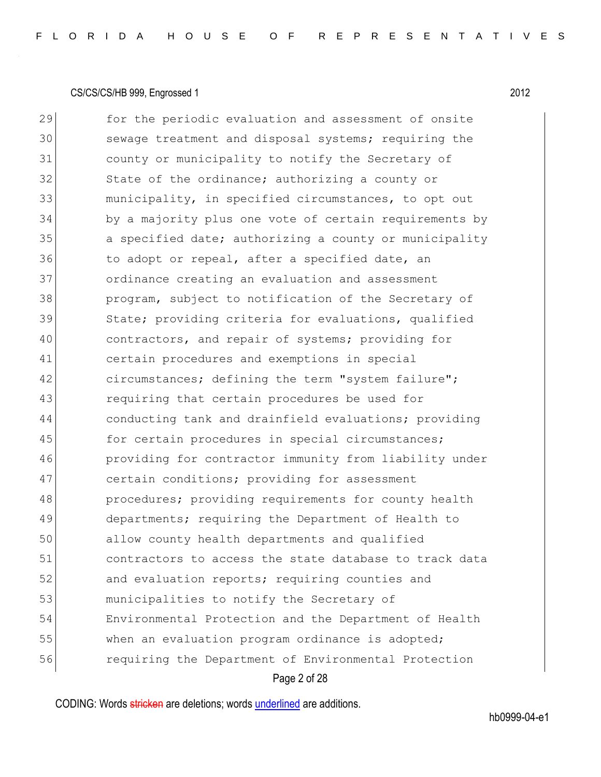Page 2 of 28 29 for the periodic evaluation and assessment of onsite 30 sewage treatment and disposal systems; requiring the 31 county or municipality to notify the Secretary of 32 State of the ordinance; authorizing a county or 33 municipality, in specified circumstances, to opt out 34 by a majority plus one vote of certain requirements by 35 a specified date; authorizing a county or municipality 36 to adopt or repeal, after a specified date, an 37 ordinance creating an evaluation and assessment 38 program, subject to notification of the Secretary of 39 State; providing criteria for evaluations, qualified 40 contractors, and repair of systems; providing for 41 certain procedures and exemptions in special 42 circumstances; defining the term "system failure"; 43 requiring that certain procedures be used for 44 conducting tank and drainfield evaluations; providing 45 for certain procedures in special circumstances; 46 providing for contractor immunity from liability under 47 certain conditions; providing for assessment 48 **procedures;** providing requirements for county health 49 departments; requiring the Department of Health to 50 allow county health departments and qualified 51 contractors to access the state database to track data 52 and evaluation reports; requiring counties and 53 municipalities to notify the Secretary of 54 Environmental Protection and the Department of Health 55 when an evaluation program ordinance is adopted; 56 requiring the Department of Environmental Protection

CODING: Words stricken are deletions; words underlined are additions.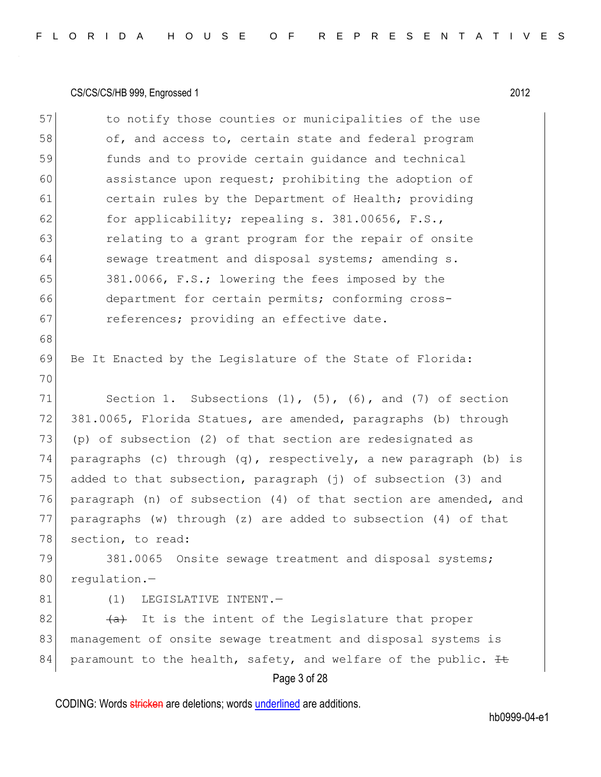| 57 | to notify those counties or municipalities of the use               |
|----|---------------------------------------------------------------------|
| 58 | of, and access to, certain state and federal program                |
| 59 | funds and to provide certain guidance and technical                 |
| 60 | assistance upon request; prohibiting the adoption of                |
| 61 | certain rules by the Department of Health; providing                |
| 62 | for applicability; repealing s. 381.00656, F.S.,                    |
| 63 | relating to a grant program for the repair of onsite                |
| 64 | sewage treatment and disposal systems; amending s.                  |
| 65 | 381.0066, F.S.; lowering the fees imposed by the                    |
| 66 | department for certain permits; conforming cross-                   |
| 67 | references; providing an effective date.                            |
| 68 |                                                                     |
| 69 | Be It Enacted by the Legislature of the State of Florida:           |
| 70 |                                                                     |
| 71 | Section 1. Subsections $(1)$ , $(5)$ , $(6)$ , and $(7)$ of section |
| 72 | 381.0065, Florida Statues, are amended, paragraphs (b) through      |
| 73 | (p) of subsection (2) of that section are redesignated as           |
| 74 | paragraphs (c) through $(q)$ , respectively, a new paragraph (b) is |
| 75 | added to that subsection, paragraph (j) of subsection (3) and       |
| 76 | paragraph (n) of subsection (4) of that section are amended, and    |
| 77 | paragraphs (w) through (z) are added to subsection (4) of that      |
| 78 | section, to read:                                                   |
| 79 | 381.0065 Onsite sewage treatment and disposal systems;              |
| 80 | regulation.-                                                        |
| 81 | LEGISLATIVE INTENT.-<br>(1)                                         |
| 82 | (a) It is the intent of the Legislature that proper                 |
| 83 | management of onsite sewage treatment and disposal systems is       |
| 84 | paramount to the health, safety, and welfare of the public. It      |

# Page 3 of 28

CODING: Words stricken are deletions; words underlined are additions.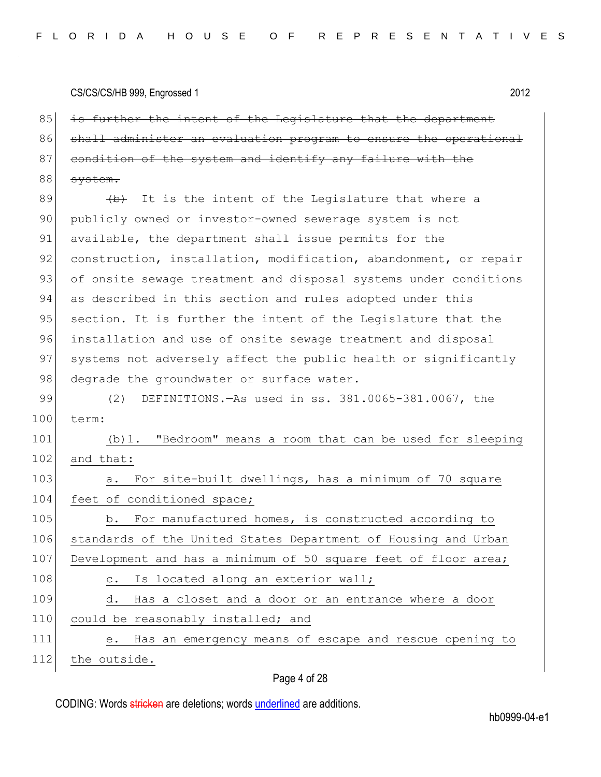85 is further the intent of the Legislature that the department 86 shall administer an evaluation program to ensure the operational 87 condition of the system and identify any failure with the 88 system.

 $89$  (b) It is the intent of the Legislature that where a 90 publicly owned or investor-owned sewerage system is not 91 available, the department shall issue permits for the 92 construction, installation, modification, abandonment, or repair 93 of onsite sewage treatment and disposal systems under conditions 94 as described in this section and rules adopted under this 95 section. It is further the intent of the Legislature that the 96 installation and use of onsite sewage treatment and disposal 97 systems not adversely affect the public health or significantly 98 degrade the groundwater or surface water.

99 (2) DEFINITIONS.—As used in ss. 381.0065-381.0067, the 100 term:

101 (b)1. "Bedroom" means a room that can be used for sleeping 102 and that:

103 a. For site-built dwellings, has a minimum of 70 square 104 feet of conditioned space;

105 b. For manufactured homes, is constructed according to 106 standards of the United States Department of Housing and Urban 107 Development and has a minimum of 50 square feet of floor area;

| 108 | c. Is located along an exterior wall;                     |
|-----|-----------------------------------------------------------|
| 109 | Has a closet and a door or an entrance where a door<br>d. |
| 110 | could be reasonably installed; and                        |
| 111 | e. Has an emergency means of escape and rescue opening to |
| 112 | the outside.                                              |

Page 4 of 28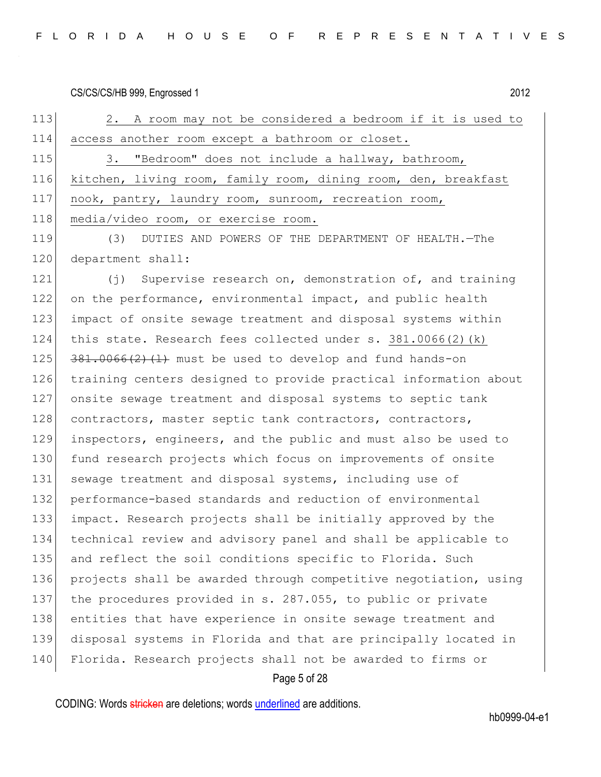| FLORIDA HOUSE OF REPRESENTATIVES |  |  |  |  |  |  |  |  |  |  |  |
|----------------------------------|--|--|--|--|--|--|--|--|--|--|--|
|----------------------------------|--|--|--|--|--|--|--|--|--|--|--|

113 2. A room may not be considered a bedroom if it is used to 114 access another room except a bathroom or closet. 115 3. "Bedroom" does not include a hallway, bathroom, 116 kitchen, living room, family room, dining room, den, breakfast

117 nook, pantry, laundry room, sunroom, recreation room,

118 media/video room, or exercise room.

119 (3) DUTIES AND POWERS OF THE DEPARTMENT OF HEALTH.—The 120 department shall:

121 (j) Supervise research on, demonstration of, and training on the performance, environmental impact, and public health impact of onsite sewage treatment and disposal systems within this state. Research fees collected under s. 381.0066(2)(k)  $381.0066(2)$   $(1)$  must be used to develop and fund hands-on training centers designed to provide practical information about onsite sewage treatment and disposal systems to septic tank 128 contractors, master septic tank contractors, contractors, inspectors, engineers, and the public and must also be used to fund research projects which focus on improvements of onsite 131 sewage treatment and disposal systems, including use of 132 performance-based standards and reduction of environmental impact. Research projects shall be initially approved by the technical review and advisory panel and shall be applicable to 135 and reflect the soil conditions specific to Florida. Such 136 projects shall be awarded through competitive negotiation, using 137 the procedures provided in s. 287.055, to public or private entities that have experience in onsite sewage treatment and disposal systems in Florida and that are principally located in Florida. Research projects shall not be awarded to firms or

#### Page 5 of 28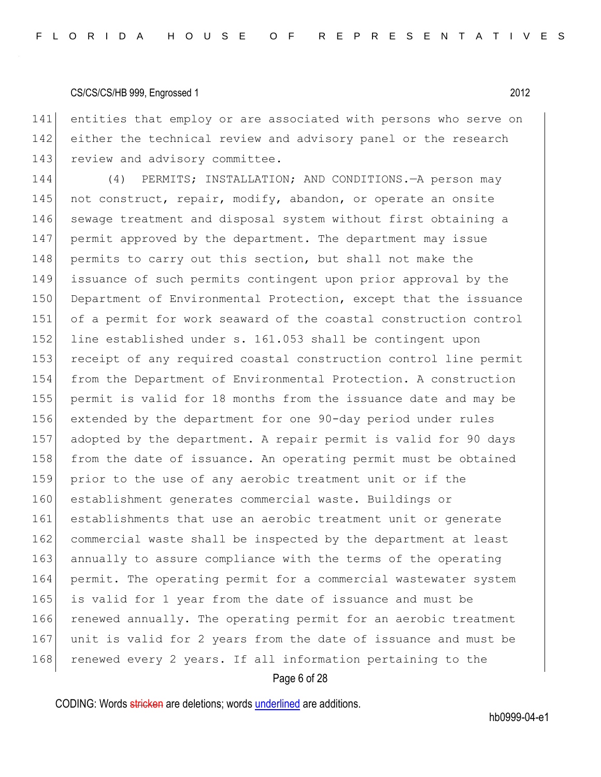141 entities that employ or are associated with persons who serve on 142 either the technical review and advisory panel or the research 143 review and advisory committee.

144 (4) PERMITS; INSTALLATION; AND CONDITIONS.—A person may 145 not construct, repair, modify, abandon, or operate an onsite 146 sewage treatment and disposal system without first obtaining a 147 permit approved by the department. The department may issue 148 permits to carry out this section, but shall not make the 149 issuance of such permits contingent upon prior approval by the 150 Department of Environmental Protection, except that the issuance 151 of a permit for work seaward of the coastal construction control 152 line established under s. 161.053 shall be contingent upon 153 receipt of any required coastal construction control line permit 154 from the Department of Environmental Protection. A construction 155 permit is valid for 18 months from the issuance date and may be 156 extended by the department for one 90-day period under rules 157 adopted by the department. A repair permit is valid for 90 days 158 from the date of issuance. An operating permit must be obtained 159 prior to the use of any aerobic treatment unit or if the 160 establishment generates commercial waste. Buildings or 161 establishments that use an aerobic treatment unit or generate 162 commercial waste shall be inspected by the department at least 163 annually to assure compliance with the terms of the operating 164 permit. The operating permit for a commercial wastewater system 165 is valid for 1 year from the date of issuance and must be 166 renewed annually. The operating permit for an aerobic treatment 167 unit is valid for 2 years from the date of issuance and must be 168 renewed every 2 years. If all information pertaining to the

#### Page 6 of 28

CODING: Words stricken are deletions; words underlined are additions.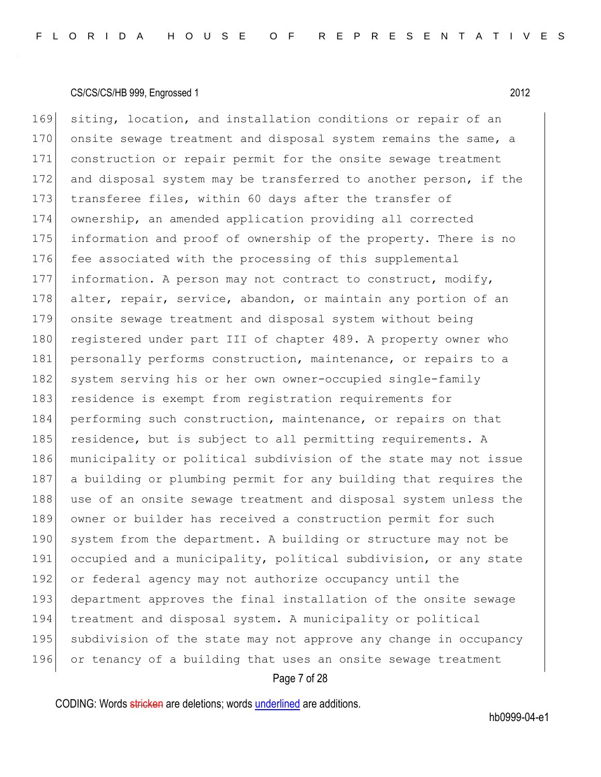169 siting, location, and installation conditions or repair of an 170 onsite sewage treatment and disposal system remains the same, a 171 construction or repair permit for the onsite sewage treatment 172 and disposal system may be transferred to another person, if the 173 transferee files, within 60 days after the transfer of 174 ownership, an amended application providing all corrected 175 information and proof of ownership of the property. There is no 176 fee associated with the processing of this supplemental 177 information. A person may not contract to construct, modify, 178 alter, repair, service, abandon, or maintain any portion of an 179 onsite sewage treatment and disposal system without being 180 registered under part III of chapter 489. A property owner who 181 personally performs construction, maintenance, or repairs to a 182 system serving his or her own owner-occupied single-family 183 residence is exempt from registration requirements for 184 performing such construction, maintenance, or repairs on that 185 residence, but is subject to all permitting requirements. A 186 municipality or political subdivision of the state may not issue 187 a building or plumbing permit for any building that requires the 188 use of an onsite sewage treatment and disposal system unless the 189 owner or builder has received a construction permit for such 190 system from the department. A building or structure may not be 191 occupied and a municipality, political subdivision, or any state 192 or federal agency may not authorize occupancy until the 193 department approves the final installation of the onsite sewage 194 treatment and disposal system. A municipality or political 195 subdivision of the state may not approve any change in occupancy 196 or tenancy of a building that uses an onsite sewage treatment

#### Page 7 of 28

CODING: Words stricken are deletions; words underlined are additions.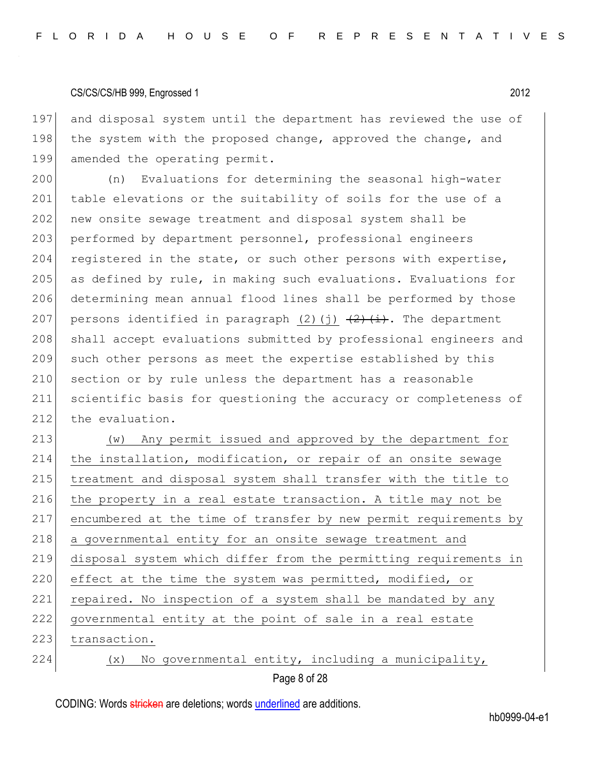197 and disposal system until the department has reviewed the use of 198 the system with the proposed change, approved the change, and 199 amended the operating permit.

200 (n) Evaluations for determining the seasonal high-water 201 table elevations or the suitability of soils for the use of a 202 new onsite sewage treatment and disposal system shall be 203 performed by department personnel, professional engineers 204 registered in the state, or such other persons with expertise, 205 as defined by rule, in making such evaluations. Evaluations for 206 determining mean annual flood lines shall be performed by those 207 persons identified in paragraph (2)(j)  $\frac{2}{1}$ , The department 208 shall accept evaluations submitted by professional engineers and 209 such other persons as meet the expertise established by this 210 section or by rule unless the department has a reasonable 211 scientific basis for questioning the accuracy or completeness of 212 the evaluation.

213 (w) Any permit issued and approved by the department for 214 the installation, modification, or repair of an onsite sewage 215 treatment and disposal system shall transfer with the title to 216 the property in a real estate transaction. A title may not be 217 encumbered at the time of transfer by new permit requirements by 218 a governmental entity for an onsite sewage treatment and 219 disposal system which differ from the permitting requirements in 220 effect at the time the system was permitted, modified, or 221 repaired. No inspection of a system shall be mandated by any 222 governmental entity at the point of sale in a real estate 223 transaction. 224  $(x)$  No governmental entity, including a municipality,

Page 8 of 28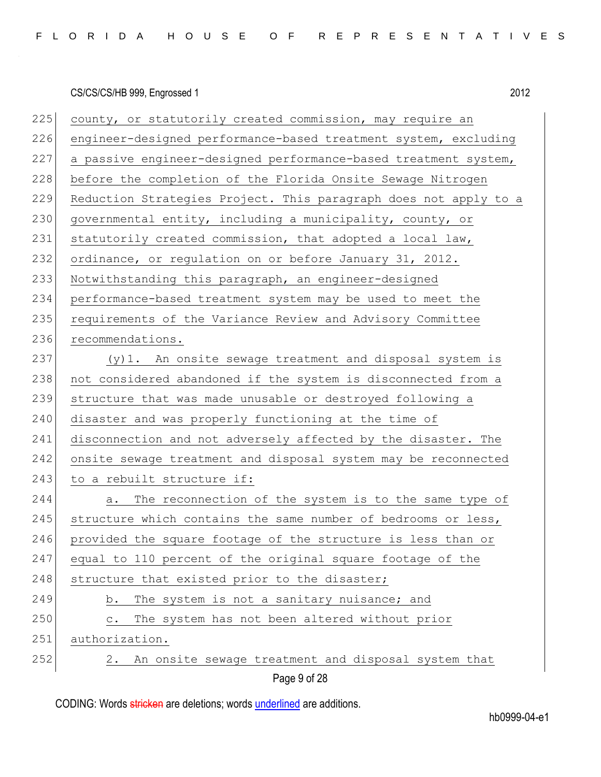225 county, or statutorily created commission, may require an 226 engineer-designed performance-based treatment system, excluding 227 a passive engineer-designed performance-based treatment system, 228 before the completion of the Florida Onsite Sewage Nitrogen 229 Reduction Strategies Project. This paragraph does not apply to a 230 governmental entity, including a municipality, county, or 231 statutorily created commission, that adopted a local law, 232 ordinance, or regulation on or before January 31, 2012. 233 Notwithstanding this paragraph, an engineer-designed 234 performance-based treatment system may be used to meet the 235 requirements of the Variance Review and Advisory Committee 236 recommendations. 237 (y)1. An onsite sewage treatment and disposal system is 238 not considered abandoned if the system is disconnected from a 239 structure that was made unusable or destroyed following a 240 disaster and was properly functioning at the time of 241 disconnection and not adversely affected by the disaster. The 242 onsite sewage treatment and disposal system may be reconnected 243 to a rebuilt structure if: 244 a. The reconnection of the system is to the same type of  $245$  structure which contains the same number of bedrooms or less, 246 provided the square footage of the structure is less than or 247 equal to 110 percent of the original square footage of the 248 structure that existed prior to the disaster; 249 b. The system is not a sanitary nuisance; and 250 c. The system has not been altered without prior 251 authorization.  $252$  2. An onsite sewage treatment and disposal system that

Page 9 of 28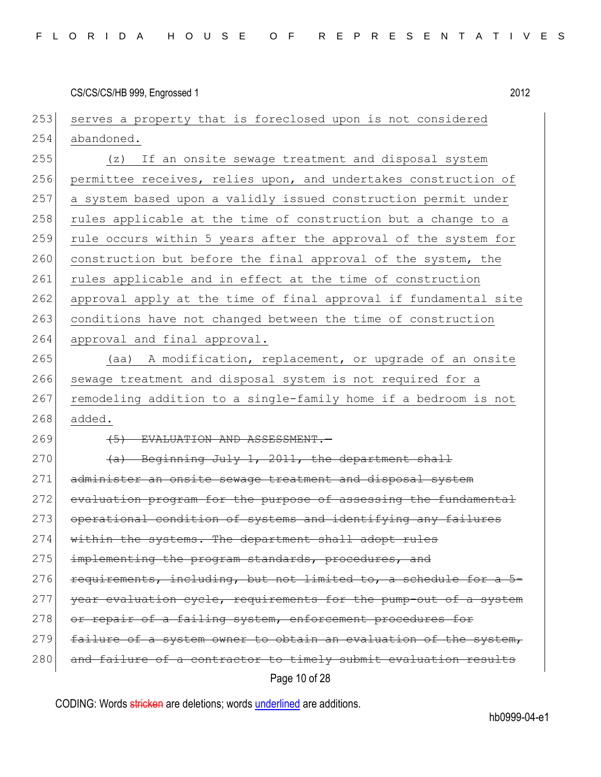253 serves a property that is foreclosed upon is not considered 254 abandoned.

255 (z) If an onsite sewage treatment and disposal system 256 permittee receives, relies upon, and undertakes construction of 257 a system based upon a validly issued construction permit under 258 rules applicable at the time of construction but a change to a 259 rule occurs within 5 years after the approval of the system for 260 construction but before the final approval of the system, the 261 rules applicable and in effect at the time of construction 262 approval apply at the time of final approval if fundamental site 263 conditions have not changed between the time of construction 264 approval and final approval.

265 (aa) A modification, replacement, or upgrade of an onsite 266 sewage treatment and disposal system is not required for a 267 remodeling addition to a single-family home if a bedroom is not 268 added.

269 (5) EVALUATION AND ASSESSMENT.

270  $(a)$  Beginning July 1, 2011, the department shall 271 administer an onsite sewage treatment and disposal system 272 evaluation program for the purpose of assessing the fundamental 273 operational condition of systems and identifying any failures 274 within the systems. The department shall adopt rules 275 implementing the program standards, procedures, and  $276$  requirements, including, but not limited to, a schedule for a 277 year evaluation cycle, requirements for the pump-out of a system 278 or repair of a failing system, enforcement procedures for 279 failure of a system owner to obtain an evaluation of the system, 280 and failure of a contractor to timely submit evaluation results

Page 10 of 28

CODING: Words stricken are deletions; words underlined are additions.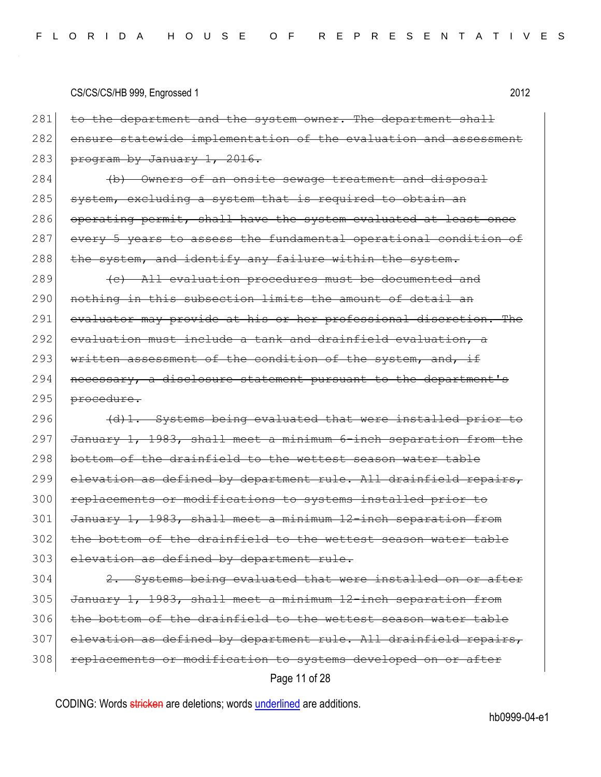|     | CS/CS/CS/HB 999, Engrossed 1<br>2012                             |
|-----|------------------------------------------------------------------|
| 281 | to the department and the system owner. The department shall     |
| 282 | ensure statewide implementation of the evaluation and assessment |
| 283 | program by January 1, 2016.                                      |
| 284 | (b) Owners of an onsite sewage treatment and disposal            |
| 285 | system, excluding a system that is required to obtain an         |
| 286 | operating permit, shall have the system evaluated at least once  |
| 287 | every 5 years to assess the fundamental operational condition of |
| 288 | the system, and identify any failure within the system.          |
| 289 | (e) All evaluation procedures must be documented and             |
| 290 | nothing in this subsection limits the amount of detail an        |
| 291 | evaluator may provide at his or her professional discretion. The |
| 292 | evaluation must include a tank and drainfield evaluation, a      |
| 293 | written assessment of the condition of the system, and, if       |
| 294 | necessary, a disclosure statement pursuant to the department's   |
| 295 | procedure.                                                       |
| 296 | (d)1. Systems being evaluated that were installed prior to       |
| 297 | January 1, 1983, shall meet a minimum 6-inch separation from the |
| 298 | bottom of the drainfield to the wettest season water table       |
| 299 | elevation as defined by department rule. All drainfield repairs, |
| 300 | replacements or modifications to systems installed prior to      |
| 301 | January 1, 1983, shall meet a minimum 12-inch separation from    |
| 302 | the bottom of the drainfield to the wettest season water table   |
| 303 | elevation as defined by department rule.                         |
| 304 | 2. Systems being evaluated that were installed on or after       |
|     |                                                                  |

Page 11 of 28 305 January 1, 1983, shall meet a minimum 12-inch separation from 306 the bottom of the drainfield to the wettest season water table 307 elevation as defined by department rule. All drainfield repairs, 308 replacements or modification to systems developed on or after

CODING: Words stricken are deletions; words underlined are additions.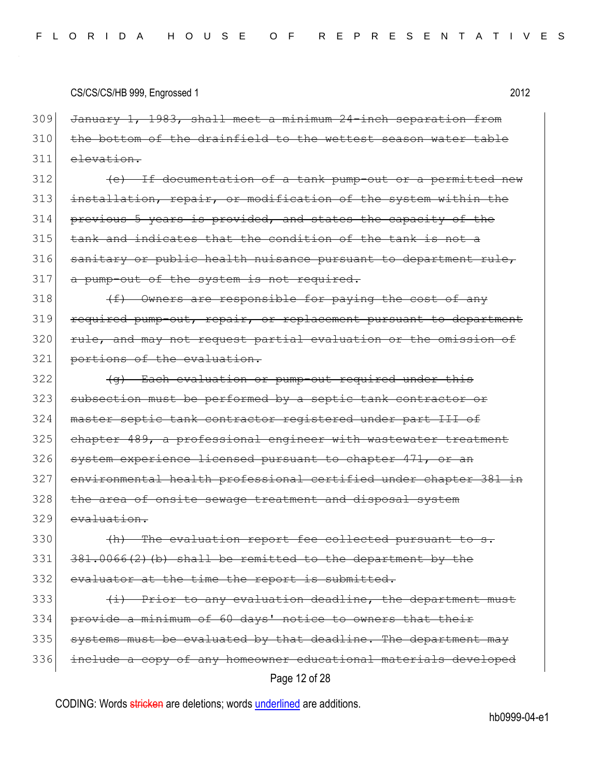309 January 1, 1983, shall meet a minimum 24-inch separation from  $310$  the bottom of the drainfield to the wettest season water table 311 elevation.

 (e) If documentation of a tank pump-out or a permitted new installation, repair, or modification of the system within the previous 5 years is provided, and states the capacity of the tank and indicates that the condition of the tank is not a 316 sanitary or public health nuisance pursuant to department rule, 317 a pump-out of the system is not required.

 $318$  (f) Owners are responsible for paying the cost of any 319 required pump-out, repair, or replacement pursuant to department 320 rule, and may not request partial evaluation or the omission of 321 portions of the evaluation.

 $322$  (g) Each evaluation or pump-out required under this 323 subsection must be performed by a septic tank contractor or 324 master septic tank contractor registered under part III of 325 chapter 489, a professional engineer with wastewater treatment 326 system experience licensed pursuant to chapter 471, or an 327 environmental health professional certified under chapter 381 in 328 the area of onsite sewage treatment and disposal system 329 evaluation.

 $330$  (h) The evaluation report fee collected pursuant to s.  $331$   $381.0066(2)$  (b) shall be remitted to the department by the 332 evaluator at the time the report is submitted.

Page 12 of 28  $(i)$  Prior to any evaluation deadline, the department must provide a minimum of 60 days' notice to owners that their systems must be evaluated by that deadline. The department may include a copy of any homeowner educational materials developed

CODING: Words stricken are deletions; words underlined are additions.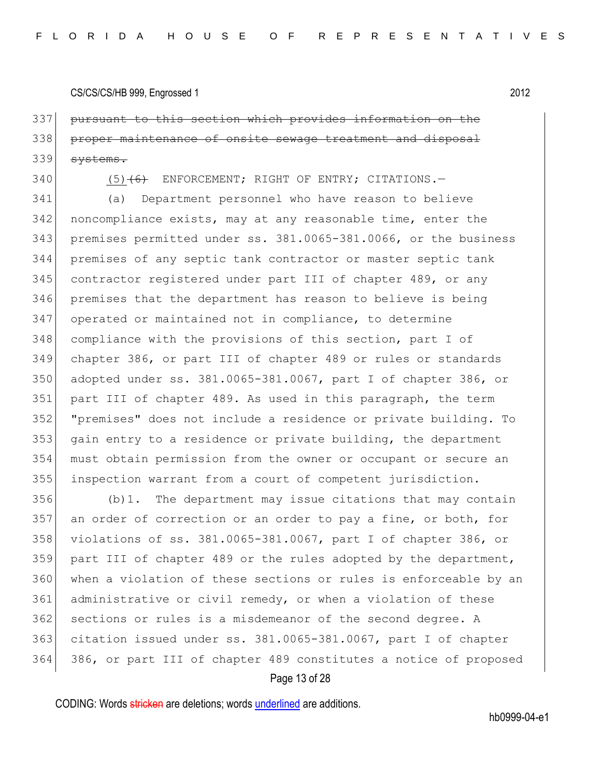pursuant to this section which provides information on the proper maintenance of onsite sewage treatment and disposal 339 systems.

340 (5)<del>(6)</del> ENFORCEMENT; RIGHT OF ENTRY; CITATIONS.

 (a) Department personnel who have reason to believe noncompliance exists, may at any reasonable time, enter the premises permitted under ss. 381.0065-381.0066, or the business premises of any septic tank contractor or master septic tank contractor registered under part III of chapter 489, or any premises that the department has reason to believe is being 347 operated or maintained not in compliance, to determine compliance with the provisions of this section, part I of chapter 386, or part III of chapter 489 or rules or standards adopted under ss. 381.0065-381.0067, part I of chapter 386, or part III of chapter 489. As used in this paragraph, the term "premises" does not include a residence or private building. To gain entry to a residence or private building, the department must obtain permission from the owner or occupant or secure an inspection warrant from a court of competent jurisdiction.

 (b)1. The department may issue citations that may contain 357 an order of correction or an order to pay a fine, or both, for violations of ss. 381.0065-381.0067, part I of chapter 386, or part III of chapter 489 or the rules adopted by the department, 360 when a violation of these sections or rules is enforceable by an 361 administrative or civil remedy, or when a violation of these 362 sections or rules is a misdemeanor of the second degree. A citation issued under ss. 381.0065-381.0067, part I of chapter 386, or part III of chapter 489 constitutes a notice of proposed

#### Page 13 of 28

CODING: Words stricken are deletions; words underlined are additions.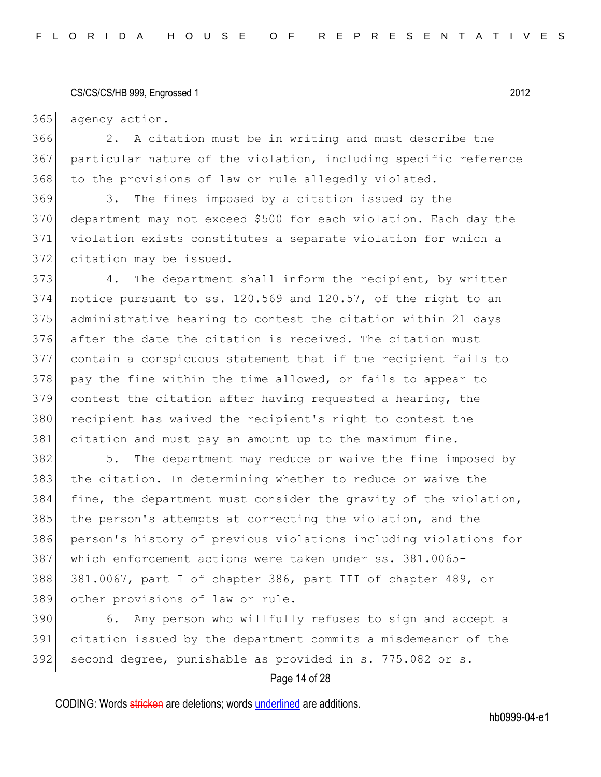365 agency action.

366 2. A citation must be in writing and must describe the 367 particular nature of the violation, including specific reference 368 to the provisions of law or rule allegedly violated.

 3. The fines imposed by a citation issued by the department may not exceed \$500 for each violation. Each day the violation exists constitutes a separate violation for which a 372 citation may be issued.

373 4. The department shall inform the recipient, by written 374 notice pursuant to ss.  $120.569$  and  $120.57$ , of the right to an 375 administrative hearing to contest the citation within 21 days 376 after the date the citation is received. The citation must 377 contain a conspicuous statement that if the recipient fails to 378 pay the fine within the time allowed, or fails to appear to 379 contest the citation after having requested a hearing, the 380 recipient has waived the recipient's right to contest the 381 citation and must pay an amount up to the maximum fine.

 5. The department may reduce or waive the fine imposed by the citation. In determining whether to reduce or waive the fine, the department must consider the gravity of the violation, 385 the person's attempts at correcting the violation, and the person's history of previous violations including violations for which enforcement actions were taken under ss. 381.0065- 381.0067, part I of chapter 386, part III of chapter 489, or other provisions of law or rule.

390 6. Any person who willfully refuses to sign and accept a 391 citation issued by the department commits a misdemeanor of the 392 second degree, punishable as provided in s. 775.082 or s.

#### Page 14 of 28

CODING: Words stricken are deletions; words underlined are additions.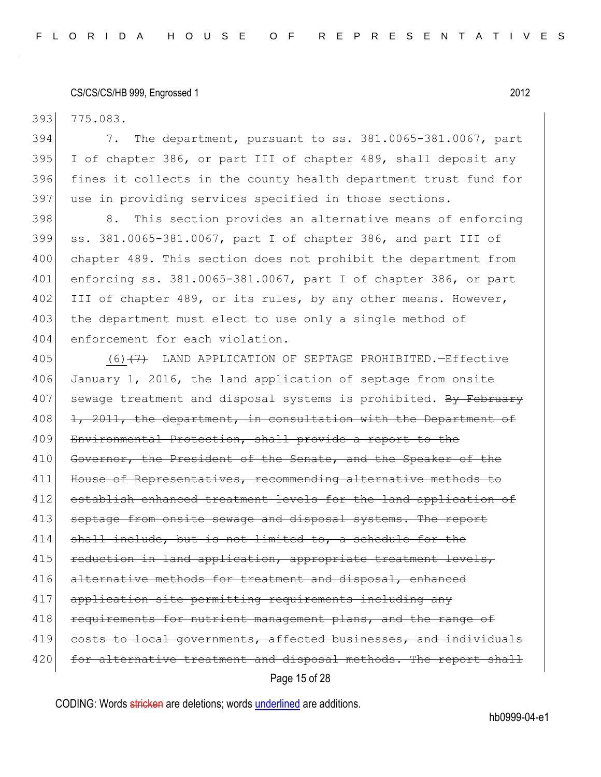393 775.083.

 7. The department, pursuant to ss. 381.0065-381.0067, part I of chapter 386, or part III of chapter 489, shall deposit any fines it collects in the county health department trust fund for use in providing services specified in those sections.

398 8. This section provides an alternative means of enforcing 399 ss. 381.0065-381.0067, part I of chapter 386, and part III of 400 chapter 489. This section does not prohibit the department from 401 enforcing ss. 381.0065-381.0067, part I of chapter 386, or part 402 III of chapter 489, or its rules, by any other means. However, 403 the department must elect to use only a single method of 404 enforcement for each violation.

Page 15 of 28 405 (6)<del>(7)</del> LAND APPLICATION OF SEPTAGE PROHIBITED. - Effective 406 January 1, 2016, the land application of septage from onsite 407 sewage treatment and disposal systems is prohibited. By February  $408$  1, 2011, the department, in consultation with the Department of 409 Environmental Protection, shall provide a report to the 410 Governor, the President of the Senate, and the Speaker of the 411 House of Representatives, recommending alternative methods to 412 establish enhanced treatment levels for the land application of 413 septage from onsite sewage and disposal systems. The report 414 shall include, but is not limited to, a schedule for the 415 reduction in land application, appropriate treatment levels, 416 alternative methods for treatment and disposal, enhanced 417 application site permitting requirements including any 418 requirements for nutrient management plans, and the range of 419 costs to local governments, affected businesses, and individuals 420 for alternative treatment and disposal methods. The report shall

CODING: Words stricken are deletions; words underlined are additions.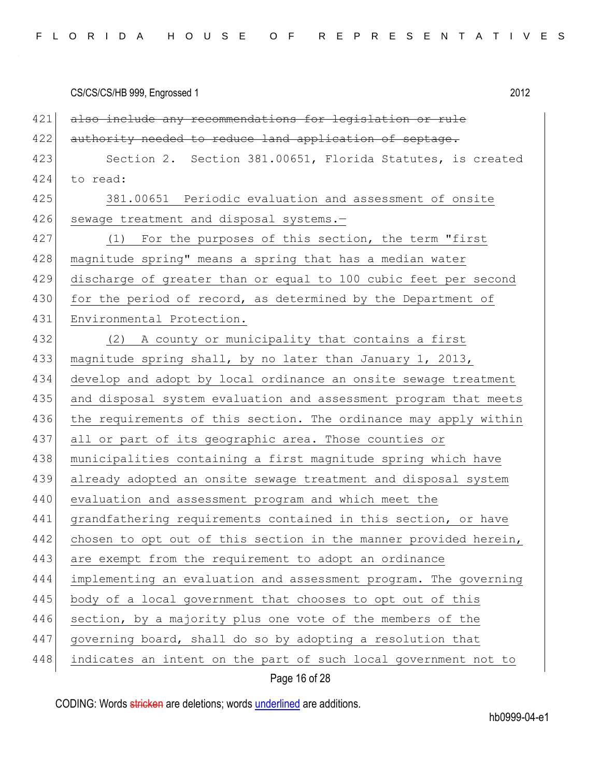| CS/CS/CS/HB 999, Engrossed 1 | 2012 |
|------------------------------|------|
|                              |      |

| 421<br>also include any recommendations for legislation or rule         |
|-------------------------------------------------------------------------|
| 422<br>authority needed to reduce land application of septage.          |
| 423<br>Section 2. Section 381.00651, Florida Statutes, is created       |
| 424<br>to read:                                                         |
| 425<br>381.00651 Periodic evaluation and assessment of onsite           |
| 426<br>sewage treatment and disposal systems.-                          |
| 427<br>(1) For the purposes of this section, the term "first            |
| 428<br>magnitude spring" means a spring that has a median water         |
| 429<br>discharge of greater than or equal to 100 cubic feet per second  |
| 430<br>for the period of record, as determined by the Department of     |
| 431<br>Environmental Protection.                                        |
| 432<br>(2) A county or municipality that contains a first               |
| 433<br>magnitude spring shall, by no later than January 1, 2013,        |
| 434<br>develop and adopt by local ordinance an onsite sewage treatment  |
| 435<br>and disposal system evaluation and assessment program that meets |
| 436<br>the requirements of this section. The ordinance may apply within |
| 437<br>all or part of its geographic area. Those counties or            |
| 438<br>municipalities containing a first magnitude spring which have    |
| 439<br>already adopted an onsite sewage treatment and disposal system   |
| evaluation and assessment program and which meet the                    |
| grandfathering requirements contained in this section, or have          |
| chosen to opt out of this section in the manner provided herein,        |
| 443<br>are exempt from the requirement to adopt an ordinance            |
| 444<br>implementing an evaluation and assessment program. The governing |
| 445<br>body of a local government that chooses to opt out of this       |
| 446<br>section, by a majority plus one vote of the members of the       |
| 447<br>governing board, shall do so by adopting a resolution that       |
| 448<br>indicates an intent on the part of such local government not to  |
|                                                                         |

# Page 16 of 28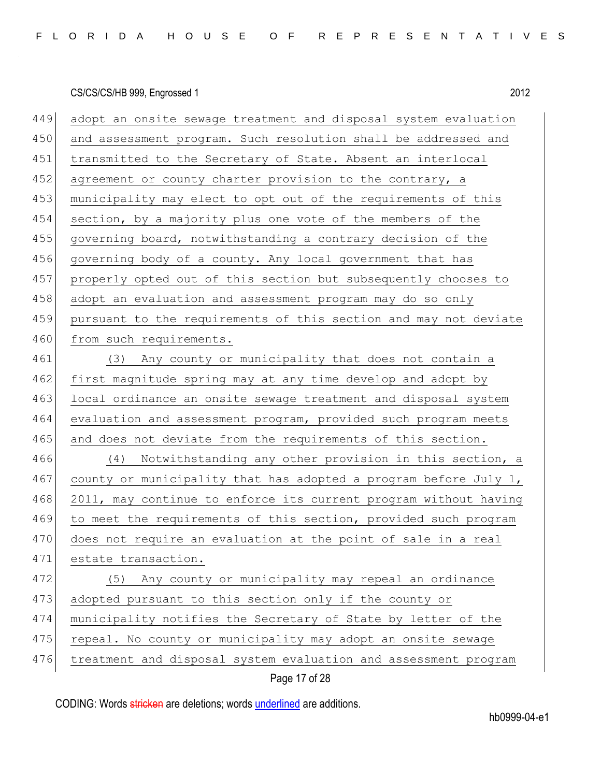| 449 | adopt an onsite sewage treatment and disposal system evaluation  |
|-----|------------------------------------------------------------------|
| 450 | and assessment program. Such resolution shall be addressed and   |
| 451 | transmitted to the Secretary of State. Absent an interlocal      |
| 452 | agreement or county charter provision to the contrary, a         |
| 453 | municipality may elect to opt out of the requirements of this    |
| 454 | section, by a majority plus one vote of the members of the       |
| 455 | governing board, notwithstanding a contrary decision of the      |
| 456 | governing body of a county. Any local government that has        |
| 457 | properly opted out of this section but subsequently chooses to   |
| 458 | adopt an evaluation and assessment program may do so only        |
| 459 | pursuant to the requirements of this section and may not deviate |
| 460 | from such requirements.                                          |
| 461 | (3) Any county or municipality that does not contain a           |
| 462 | first magnitude spring may at any time develop and adopt by      |
| 463 | local ordinance an onsite sewage treatment and disposal system   |
| 464 | evaluation and assessment program, provided such program meets   |
| 465 | and does not deviate from the requirements of this section.      |
| 466 | Notwithstanding any other provision in this section, a<br>(4)    |
| 467 | county or municipality that has adopted a program before July 1, |
| 468 | 2011, may continue to enforce its current program without having |
| 469 | to meet the requirements of this section, provided such program  |
| 470 | does not require an evaluation at the point of sale in a real    |
| 471 | estate transaction.                                              |
| 472 | Any county or municipality may repeal an ordinance<br>(5)        |
| 473 | adopted pursuant to this section only if the county or           |
| 474 | municipality notifies the Secretary of State by letter of the    |
| 475 | repeal. No county or municipality may adopt an onsite sewage     |
| 476 | treatment and disposal system evaluation and assessment program  |
|     | Page 17 of 28                                                    |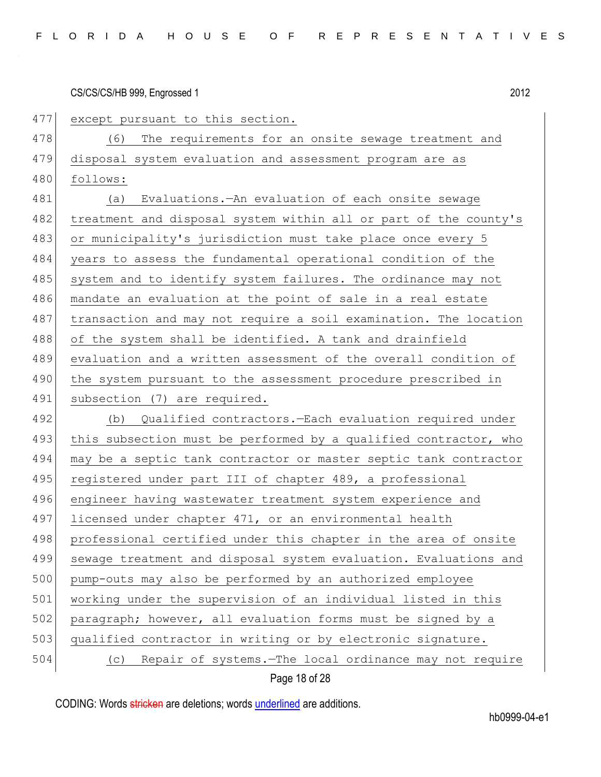477 except pursuant to this section. 478 (6) The requirements for an onsite sewage treatment and 479 disposal system evaluation and assessment program are as 480 follows: 481 (a) Evaluations.—An evaluation of each onsite sewage 482 treatment and disposal system within all or part of the county's 483 or municipality's jurisdiction must take place once every 5 484 years to assess the fundamental operational condition of the 485 system and to identify system failures. The ordinance may not 486 mandate an evaluation at the point of sale in a real estate 487 transaction and may not require a soil examination. The location 488 of the system shall be identified. A tank and drainfield 489 evaluation and a written assessment of the overall condition of 490 the system pursuant to the assessment procedure prescribed in 491 subsection (7) are required. 492 (b) Qualified contractors.—Each evaluation required under 493 this subsection must be performed by a qualified contractor, who 494 may be a septic tank contractor or master septic tank contractor 495 registered under part III of chapter 489, a professional 496 engineer having wastewater treatment system experience and 497 licensed under chapter 471, or an environmental health 498 professional certified under this chapter in the area of onsite 499 sewage treatment and disposal system evaluation. Evaluations and 500 pump-outs may also be performed by an authorized employee 501 working under the supervision of an individual listed in this 502 paragraph; however, all evaluation forms must be signed by a 503 qualified contractor in writing or by electronic signature. 504 (c) Repair of systems.—The local ordinance may not require

Page 18 of 28

CODING: Words stricken are deletions; words underlined are additions.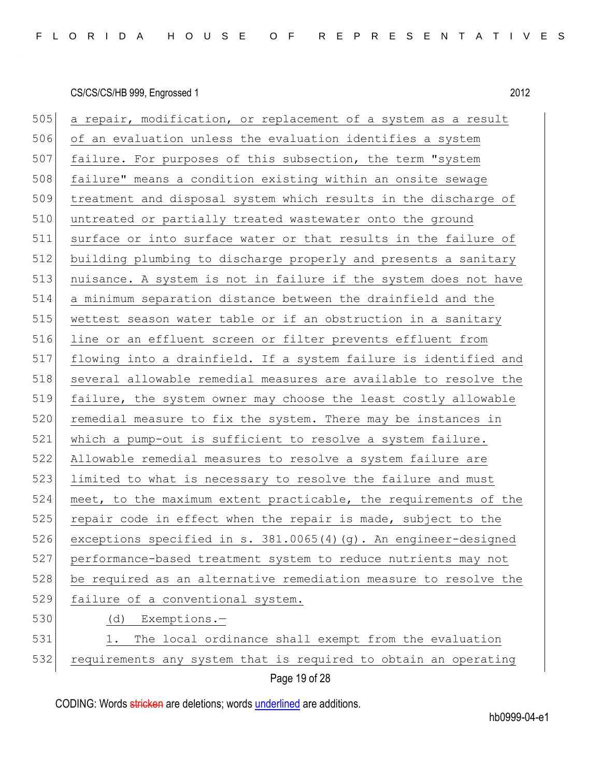505 a repair, modification, or replacement of a system as a result of an evaluation unless the evaluation identifies a system 507 failure. For purposes of this subsection, the term "system failure" means a condition existing within an onsite sewage treatment and disposal system which results in the discharge of 510 untreated or partially treated wastewater onto the ground surface or into surface water or that results in the failure of building plumbing to discharge properly and presents a sanitary nuisance. A system is not in failure if the system does not have a minimum separation distance between the drainfield and the wettest season water table or if an obstruction in a sanitary line or an effluent screen or filter prevents effluent from flowing into a drainfield. If a system failure is identified and several allowable remedial measures are available to resolve the 519 failure, the system owner may choose the least costly allowable 520 remedial measure to fix the system. There may be instances in 521 which a pump-out is sufficient to resolve a system failure. Allowable remedial measures to resolve a system failure are limited to what is necessary to resolve the failure and must 524 meet, to the maximum extent practicable, the requirements of the 525 repair code in effect when the repair is made, subject to the exceptions specified in s. 381.0065(4)(g). An engineer-designed performance-based treatment system to reduce nutrients may not be required as an alternative remediation measure to resolve the failure of a conventional system. (d) Exemptions.— 531 1. The local ordinance shall exempt from the evaluation 532 requirements any system that is required to obtain an operating

Page 19 of 28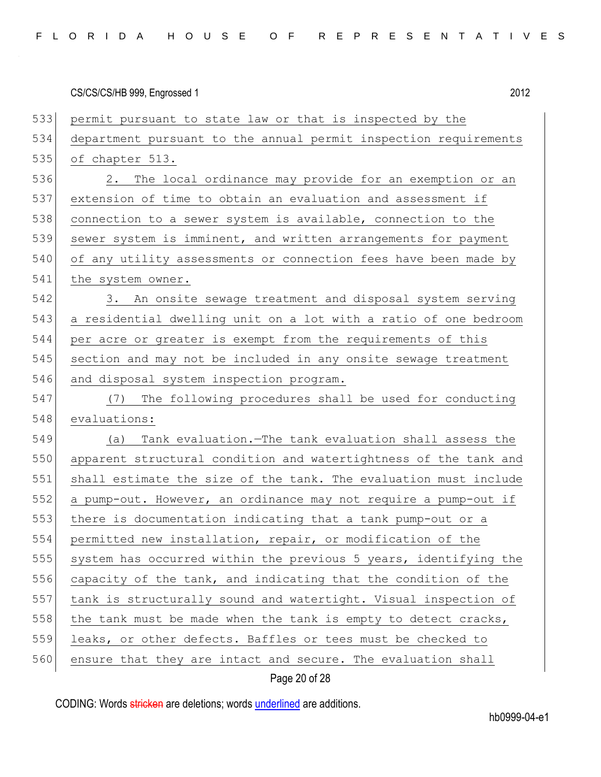| 533 | permit pursuant to state law or that is inspected by the         |
|-----|------------------------------------------------------------------|
| 534 | department pursuant to the annual permit inspection requirements |
| 535 | of chapter 513.                                                  |
| 536 | The local ordinance may provide for an exemption or an<br>2.     |
| 537 | extension of time to obtain an evaluation and assessment if      |
| 538 | connection to a sewer system is available, connection to the     |
| 539 | sewer system is imminent, and written arrangements for payment   |
| 540 | of any utility assessments or connection fees have been made by  |
| 541 | the system owner.                                                |
| 542 | 3. An onsite sewage treatment and disposal system serving        |
| 543 | a residential dwelling unit on a lot with a ratio of one bedroom |
| 544 | per acre or greater is exempt from the requirements of this      |
| 545 | section and may not be included in any onsite sewage treatment   |
| 546 | and disposal system inspection program.                          |
| 547 | The following procedures shall be used for conducting<br>(7)     |
| 548 | evaluations:                                                     |
| 549 | Tank evaluation. The tank evaluation shall assess the<br>(a)     |
| 550 | apparent structural condition and watertightness of the tank and |
| 551 | shall estimate the size of the tank. The evaluation must include |
| 552 | a pump-out. However, an ordinance may not require a pump-out if  |
| 553 | there is documentation indicating that a tank pump-out or a      |
| 554 | permitted new installation, repair, or modification of the       |
| 555 | system has occurred within the previous 5 years, identifying the |
| 556 | capacity of the tank, and indicating that the condition of the   |
| 557 | tank is structurally sound and watertight. Visual inspection of  |
| 558 | the tank must be made when the tank is empty to detect cracks,   |
| 559 | leaks, or other defects. Baffles or tees must be checked to      |
| 560 | ensure that they are intact and secure. The evaluation shall     |

# Page 20 of 28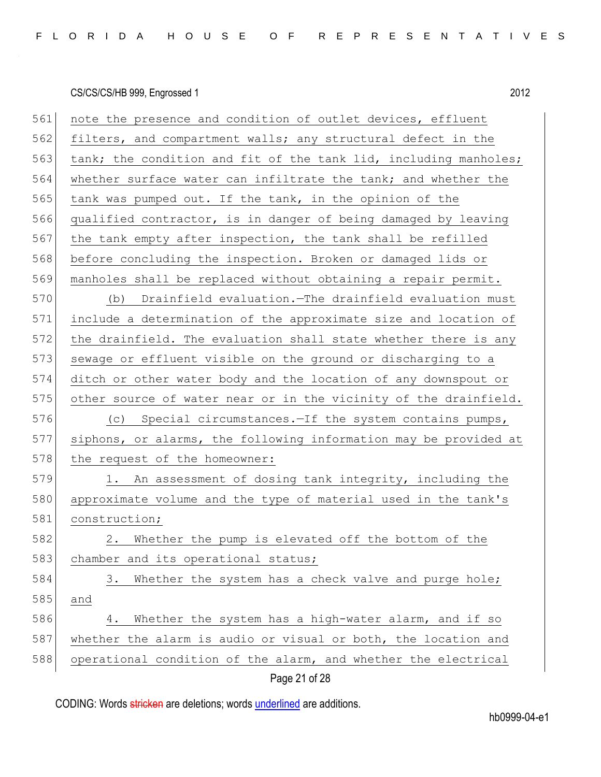| 561 | note the presence and condition of outlet devices, effluent      |
|-----|------------------------------------------------------------------|
| 562 | filters, and compartment walls; any structural defect in the     |
| 563 | tank; the condition and fit of the tank lid, including manholes; |
| 564 | whether surface water can infiltrate the tank; and whether the   |
| 565 | tank was pumped out. If the tank, in the opinion of the          |
| 566 | qualified contractor, is in danger of being damaged by leaving   |
| 567 | the tank empty after inspection, the tank shall be refilled      |
| 568 | before concluding the inspection. Broken or damaged lids or      |
| 569 | manholes shall be replaced without obtaining a repair permit.    |
| 570 | (b) Drainfield evaluation. The drainfield evaluation must        |
| 571 | include a determination of the approximate size and location of  |
| 572 | the drainfield. The evaluation shall state whether there is any  |
| 573 | sewage or effluent visible on the ground or discharging to a     |
| 574 | ditch or other water body and the location of any downspout or   |
| 575 | other source of water near or in the vicinity of the drainfield. |
| 576 | (c) Special circumstances. - If the system contains pumps,       |
| 577 | siphons, or alarms, the following information may be provided at |
| 578 | the request of the homeowner:                                    |
| 579 | 1. An assessment of dosing tank integrity, including the         |
| 580 | approximate volume and the type of material used in the tank's   |
| 581 | construction;                                                    |
| 582 | 2. Whether the pump is elevated off the bottom of the            |
| 583 | chamber and its operational status;                              |
| 584 | Whether the system has a check valve and purge hole;<br>3.       |
| 585 | and                                                              |
| 586 | Whether the system has a high-water alarm, and if so<br>4.       |
| 587 | whether the alarm is audio or visual or both, the location and   |
| 588 | operational condition of the alarm, and whether the electrical   |
|     | Page 21 of 28                                                    |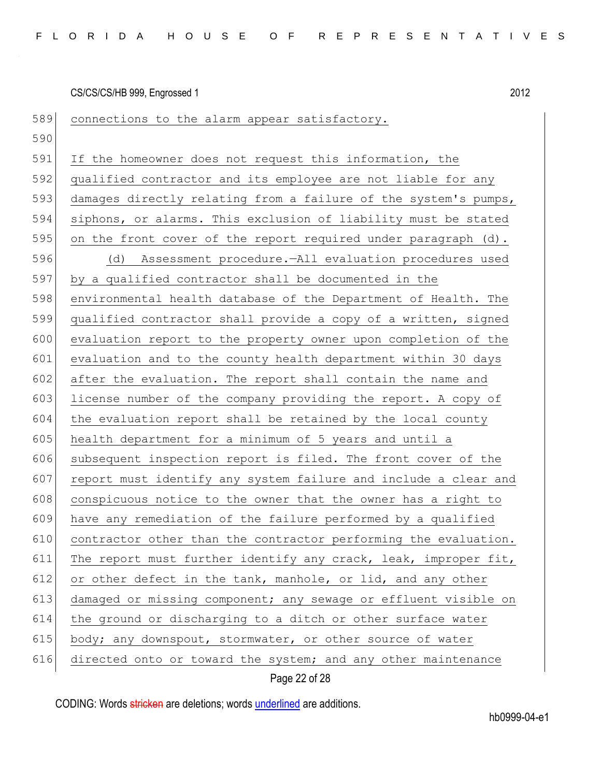| 589 | connections to the alarm appear satisfactory.                   |
|-----|-----------------------------------------------------------------|
| 590 |                                                                 |
| 591 | If the homeowner does not request this information, the         |
| 592 | qualified contractor and its employee are not liable for any    |
| 593 | damages directly relating from a failure of the system's pumps, |
| 594 | siphons, or alarms. This exclusion of liability must be stated  |
| 595 | on the front cover of the report required under paragraph (d).  |
| 596 | (d) Assessment procedure.-All evaluation procedures used        |
| 597 | by a qualified contractor shall be documented in the            |
| 598 | environmental health database of the Department of Health. The  |
| 599 | qualified contractor shall provide a copy of a written, signed  |
| 600 | evaluation report to the property owner upon completion of the  |
| 601 | evaluation and to the county health department within 30 days   |
| 602 | after the evaluation. The report shall contain the name and     |
| 603 | license number of the company providing the report. A copy of   |
| 604 | the evaluation report shall be retained by the local county     |
| 605 | health department for a minimum of 5 years and until a          |
| 606 | subsequent inspection report is filed. The front cover of the   |
| 607 | report must identify any system failure and include a clear and |
| 608 | conspicuous notice to the owner that the owner has a right to   |
| 609 | have any remediation of the failure performed by a qualified    |
| 610 | contractor other than the contractor performing the evaluation. |
| 611 | The report must further identify any crack, leak, improper fit, |
| 612 | or other defect in the tank, manhole, or lid, and any other     |
| 613 | damaged or missing component; any sewage or effluent visible on |
| 614 | the ground or discharging to a ditch or other surface water     |
| 615 | body; any downspout, stormwater, or other source of water       |
| 616 | directed onto or toward the system; and any other maintenance   |

Page 22 of 28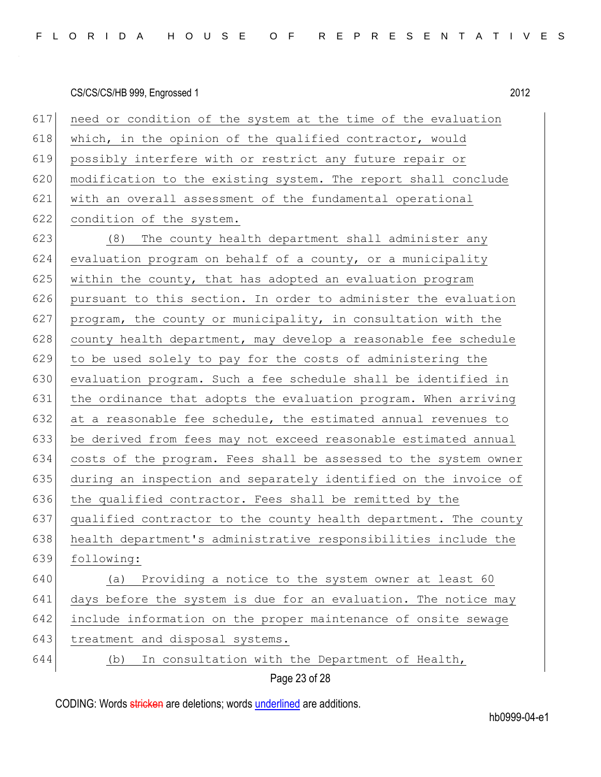| 617<br>need or condition of the system at the time of the evaluation   |
|------------------------------------------------------------------------|
| which, in the opinion of the qualified contractor, would               |
| possibly interfere with or restrict any future repair or               |
| modification to the existing system. The report shall conclude         |
| with an overall assessment of the fundamental operational              |
| condition of the system.                                               |
| 623<br>(8)<br>The county health department shall administer any        |
| evaluation program on behalf of a county, or a municipality            |
| within the county, that has adopted an evaluation program              |
| pursuant to this section. In order to administer the evaluation        |
| program, the county or municipality, in consultation with the          |
| county health department, may develop a reasonable fee schedule        |
| to be used solely to pay for the costs of administering the            |
| evaluation program. Such a fee schedule shall be identified in         |
| the ordinance that adopts the evaluation program. When arriving        |
| at a reasonable fee schedule, the estimated annual revenues to         |
| be derived from fees may not exceed reasonable estimated annual        |
| costs of the program. Fees shall be assessed to the system owner       |
| during an inspection and separately identified on the invoice of       |
| 636<br>the qualified contractor. Fees shall be remitted by the         |
| qualified contractor to the county health department. The county       |
| 638<br>health department's administrative responsibilities include the |
| following:                                                             |
| Providing a notice to the system owner at least 60<br>(a)              |
| days before the system is due for an evaluation. The notice may        |
| include information on the proper maintenance of onsite sewage         |
| treatment and disposal systems.                                        |
| In consultation with the Department of Health,<br>(b)                  |
|                                                                        |

Page 23 of 28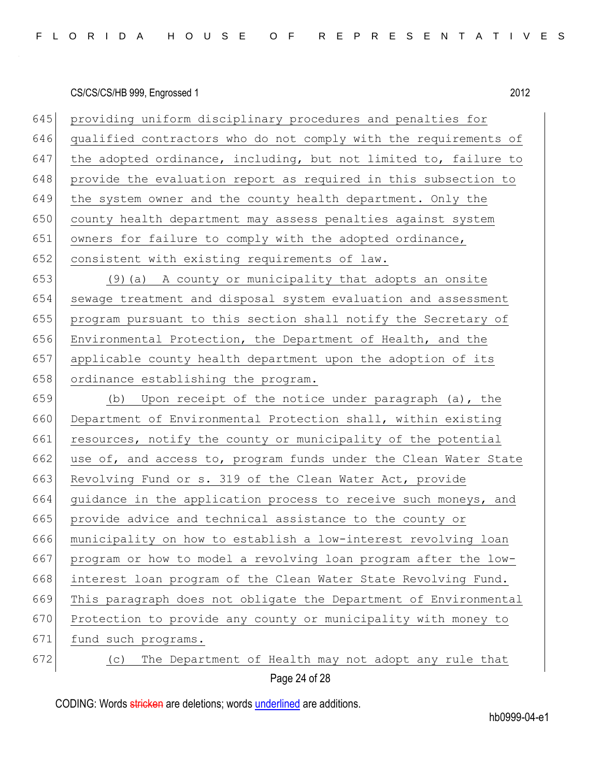| 645 | providing uniform disciplinary procedures and penalties for      |
|-----|------------------------------------------------------------------|
| 646 | qualified contractors who do not comply with the requirements of |
| 647 | the adopted ordinance, including, but not limited to, failure to |
| 648 | provide the evaluation report as required in this subsection to  |
| 649 | the system owner and the county health department. Only the      |
| 650 | county health department may assess penalties against system     |
| 651 | owners for failure to comply with the adopted ordinance,         |
| 652 | consistent with existing requirements of law.                    |
| 653 | (9) (a) A county or municipality that adopts an onsite           |
| 654 | sewage treatment and disposal system evaluation and assessment   |
| 655 | program pursuant to this section shall notify the Secretary of   |
| 656 | Environmental Protection, the Department of Health, and the      |
| 657 | applicable county health department upon the adoption of its     |
| 658 | ordinance establishing the program.                              |
| 659 | Upon receipt of the notice under paragraph (a), the<br>(b)       |
| 660 | Department of Environmental Protection shall, within existing    |
| 661 | resources, notify the county or municipality of the potential    |
| 662 | use of, and access to, program funds under the Clean Water State |
| 663 | Revolving Fund or s. 319 of the Clean Water Act, provide         |
| 664 | guidance in the application process to receive such moneys, and  |
| 665 | provide advice and technical assistance to the county or         |
| 666 | municipality on how to establish a low-interest revolving loan   |
| 667 | program or how to model a revolving loan program after the low-  |
| 668 | interest loan program of the Clean Water State Revolving Fund.   |
| 669 | This paragraph does not obligate the Department of Environmental |
| 670 | Protection to provide any county or municipality with money to   |
| 671 | fund such programs.                                              |
| 672 | The Department of Health may not adopt any rule that<br>(C)      |

Page 24 of 28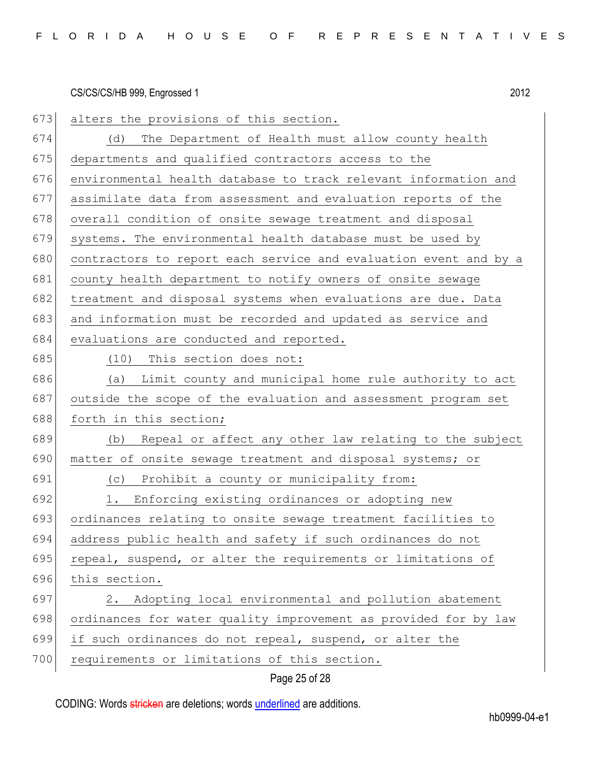673 alters the provisions of this section. 674 (d) The Department of Health must allow county health 675 departments and qualified contractors access to the 676 environmental health database to track relevant information and 677 assimilate data from assessment and evaluation reports of the 678 overall condition of onsite sewage treatment and disposal 679 systems. The environmental health database must be used by 680 contractors to report each service and evaluation event and by a 681 county health department to notify owners of onsite sewage 682 treatment and disposal systems when evaluations are due. Data 683 and information must be recorded and updated as service and 684 evaluations are conducted and reported. 685 (10) This section does not: 686 (a) Limit county and municipal home rule authority to act 687 outside the scope of the evaluation and assessment program set 688 forth in this section;  $689$  (b) Repeal or affect any other law relating to the subject 690 matter of onsite sewage treatment and disposal systems; or 691 (c) Prohibit a county or municipality from: 692 1. Enforcing existing ordinances or adopting new 693 ordinances relating to onsite sewage treatment facilities to 694 address public health and safety if such ordinances do not 695 repeal, suspend, or alter the requirements or limitations of 696 this section. 697 2. Adopting local environmental and pollution abatement 698 ordinances for water quality improvement as provided for by law 699 if such ordinances do not repeal, suspend, or alter the 700 requirements or limitations of this section.

Page 25 of 28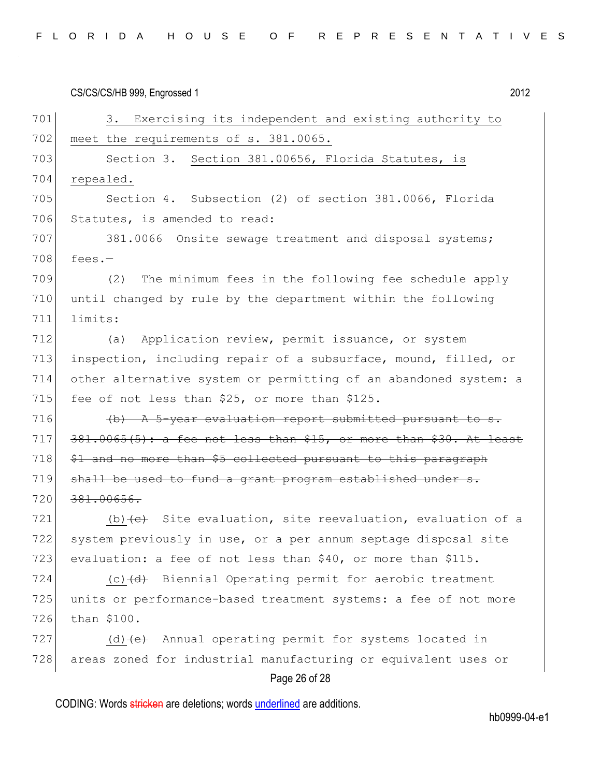| FLORIDA HOUSE OF REPRESENTATIVES |  |  |  |  |  |  |  |  |
|----------------------------------|--|--|--|--|--|--|--|--|
|----------------------------------|--|--|--|--|--|--|--|--|

CS/CS/CS/HB 999, Engrossed 1 2012 Page 26 of 28 701 3. Exercising its independent and existing authority to 702 meet the requirements of s. 381.0065. 703 Section 3. Section 381.00656, Florida Statutes, is 704 repealed. 705 Section 4. Subsection (2) of section 381.0066, Florida 706 Statutes, is amended to read: 707 381.0066 Onsite sewage treatment and disposal systems;  $708$  fees.-709 (2) The minimum fees in the following fee schedule apply 710 until changed by rule by the department within the following 711 limits: 712 (a) Application review, permit issuance, or system 713 inspection, including repair of a subsurface, mound, filled, or 714 other alternative system or permitting of an abandoned system: a 715 fee of not less than  $$25$ , or more than  $$125$ . 716  $\sqrt{b}$   $\frac{1}{2}$   $\frac{1}{2}$   $\frac{1}{2}$   $\frac{1}{2}$   $\frac{1}{2}$   $\frac{1}{2}$   $\frac{1}{2}$   $\frac{1}{2}$   $\frac{1}{2}$   $\frac{1}{2}$   $\frac{1}{2}$   $\frac{1}{2}$   $\frac{1}{2}$   $\frac{1}{2}$   $\frac{1}{2}$   $\frac{1}{2}$   $\frac{1}{2}$   $\frac{1}{2}$   $\frac{1}{2}$   $\frac{1}{2}$   $\frac{1}{2}$  $717$   $381.0065(5)$ : a fee not less than \$15, or more than \$30. At least  $718$   $$1$  and no more than \$5 collected pursuant to this paragraph  $719$  shall be used to fund a grant program established under s. 720 381.00656. 721 (b)  $\left\{e\right\}$  Site evaluation, site reevaluation, evaluation of a 722 system previously in use, or a per annum septage disposal site 723 evaluation: a fee of not less than \$40, or more than \$115. 724  $(c)$   $(d)$  Biennial Operating permit for aerobic treatment 725 units or performance-based treatment systems: a fee of not more 726 than \$100. 727 (d)  $\left(e\right)$  Annual operating permit for systems located in 728 areas zoned for industrial manufacturing or equivalent uses or

CODING: Words stricken are deletions; words underlined are additions.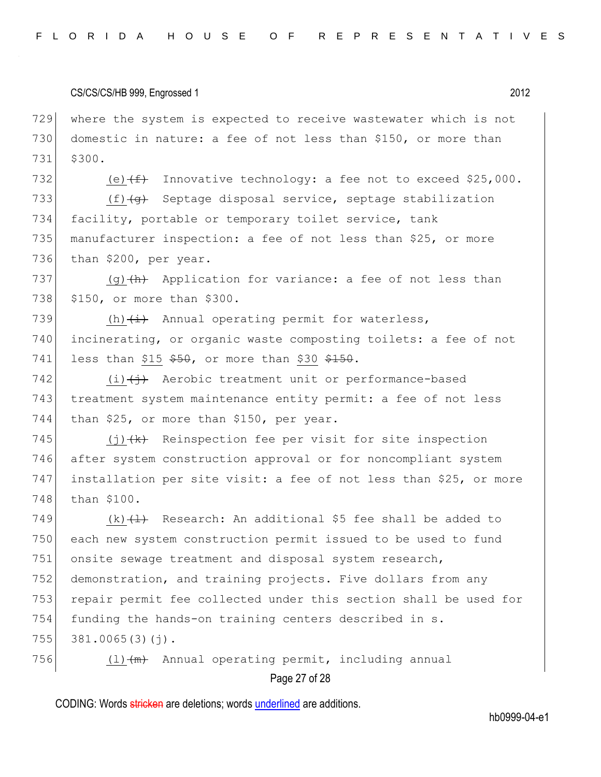729 where the system is expected to receive wastewater which is not 730 domestic in nature: a fee of not less than \$150, or more than 731 \$300.

732 (e) $(f+)$  Innovative technology: a fee not to exceed \$25,000. 733 (f) (g) Septage disposal service, septage stabilization 734 facility, portable or temporary toilet service, tank 735 manufacturer inspection: a fee of not less than \$25, or more 736 than \$200, per year.

737 (g)  $\left(\theta\right)$  Application for variance: a fee of not less than 738 \$150, or more than \$300.

739  $(h)$   $(\pm)$  Annual operating permit for waterless, 740 incinerating, or organic waste composting toilets: a fee of not 741 less than  $$15$   $$50$ , or more than  $$30$   $$150$ .

742  $(i)$   $(i)$  Aerobic treatment unit or performance-based 743 treatment system maintenance entity permit: a fee of not less  $744$  than \$25, or more than \$150, per year.

 $(i)$   $(k)$  Reinspection fee per visit for site inspection after system construction approval or for noncompliant system installation per site visit: a fee of not less than \$25, or more 748 than \$100.

749  $(k)$   $(1)$  Research: An additional \$5 fee shall be added to 750 each new system construction permit issued to be used to fund 751 onsite sewage treatment and disposal system research, 752 demonstration, and training projects. Five dollars from any 753 repair permit fee collected under this section shall be used for 754 funding the hands-on training centers described in s.  $755$  381.0065(3)(j).

756  $(l)$   $(m)$  Annual operating permit, including annual

# Page 27 of 28